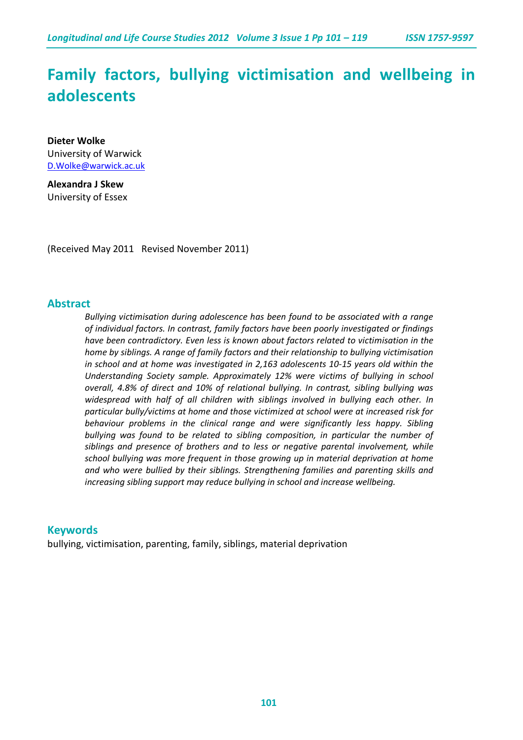# **Family factors, bullying victimisation and wellbeing in adolescents**

**Dieter Wolke** University of Warwick [D.Wolke@warwick.ac.uk](mailto:D.Wolke@warwick.ac.uk)

**Alexandra J Skew** University of Essex

(Received May 2011 Revised November 2011)

# **Abstract**

*Bullying victimisation during adolescence has been found to be associated with a range of individual factors. In contrast, family factors have been poorly investigated or findings have been contradictory. Even less is known about factors related to victimisation in the home by siblings. A range of family factors and their relationship to bullying victimisation in school and at home was investigated in 2,163 adolescents 10-15 years old within the Understanding Society sample. Approximately 12% were victims of bullying in school overall, 4.8% of direct and 10% of relational bullying. In contrast, sibling bullying was widespread with half of all children with siblings involved in bullying each other. In particular bully/victims at home and those victimized at school were at increased risk for behaviour problems in the clinical range and were significantly less happy. Sibling*  bullying was found to be related to sibling composition, in particular the number of *siblings and presence of brothers and to less or negative parental involvement, while school bullying was more frequent in those growing up in material deprivation at home and who were bullied by their siblings. Strengthening families and parenting skills and increasing sibling support may reduce bullying in school and increase wellbeing.*

# **Keywords**

bullying, victimisation, parenting, family, siblings, material deprivation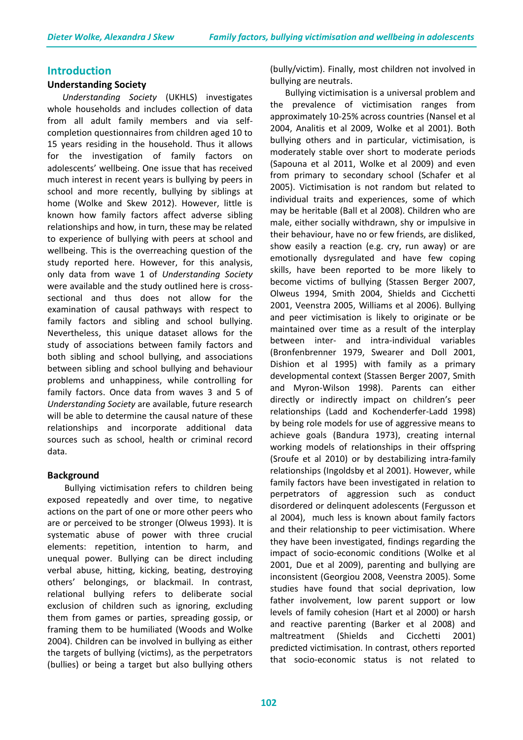#### **Introduction**

#### **Understanding Society**

*Understanding Society* (UKHLS) investigates whole households and includes collection of data from all adult family members and via selfcompletion questionnaires from children aged 10 to 15 years residing in the household. Thus it allows for the investigation of family factors on adolescents' wellbeing. One issue that has received much interest in recent years is bullying by peers in school and more recently, bullying by siblings at home (Wolke and Skew 2012). However, little is known how family factors affect adverse sibling relationships and how, in turn, these may be related to experience of bullying with peers at school and wellbeing. This is the overreaching question of the study reported here. However, for this analysis, only data from wave 1 of *Understanding Society* were available and the study outlined here is crosssectional and thus does not allow for the examination of causal pathways with respect to family factors and sibling and school bullying. Nevertheless, this unique dataset allows for the study of associations between family factors and both sibling and school bullying, and associations between sibling and school bullying and behaviour problems and unhappiness, while controlling for family factors. Once data from waves 3 and 5 of *Understanding Society* are available, future research will be able to determine the causal nature of these relationships and incorporate additional data sources such as school, health or criminal record data.

#### **Background**

Bullying victimisation refers to children being exposed repeatedly and over time, to negative actions on the part of one or more other peers who are or perceived to be stronger (Olweus 1993). It is systematic abuse of power with three crucial elements: repetition, intention to harm, and unequal power. Bullying can be direct including verbal abuse, hitting, kicking, beating, destroying others' belongings, or blackmail. In contrast, relational bullying refers to deliberate social exclusion of children such as ignoring, excluding them from games or parties, spreading gossip, or framing them to be humiliated (Woods and Wolke 2004). Children can be involved in bullying as either the targets of bullying (victims), as the perpetrators (bullies) or being a target but also bullying others

(bully/victim). Finally, most children not involved in bullying are neutrals.

Bullying victimisation is a universal problem and the prevalence of victimisation ranges from approximately 10-25% across countries (Nansel et al 2004, Analitis et al 2009, Wolke et al 2001). Both bullying others and in particular, victimisation, is moderately stable over short to moderate periods (Sapouna et al 2011, Wolke et al 2009) and even from primary to secondary school (Schafer et al 2005). Victimisation is not random but related to individual traits and experiences, some of which may be heritable (Ball et al 2008). Children who are male, either socially withdrawn, shy or impulsive in their behaviour, have no or few friends, are disliked, show easily a reaction (e.g. cry, run away) or are emotionally dysregulated and have few coping skills, have been reported to be more likely to become victims of bullying (Stassen Berger 2007, Olweus 1994, Smith 2004, Shields and Cicchetti 2001, Veenstra 2005, Williams et al 2006). Bullying and peer victimisation is likely to originate or be maintained over time as a result of the interplay between inter- and intra-individual variables (Bronfenbrenner 1979, Swearer and Doll 2001, Dishion et al 1995) with family as a primary developmental context (Stassen Berger 2007, Smith and Myron-Wilson 1998). Parents can either directly or indirectly impact on children's peer relationships (Ladd and Kochenderfer-Ladd 1998) by being role models for use of aggressive means to achieve goals (Bandura 1973), creating internal working models of relationships in their offspring (Sroufe et al 2010) or by destabilizing intra-family relationships (Ingoldsby et al 2001). However, while family factors have been investigated in relation to perpetrators of aggression such as conduct disordered or delinquent adolescents (Fergusson et al 2004), much less is known about family factors and their relationship to peer victimisation. Where they have been investigated, findings regarding the impact of socio-economic conditions (Wolke et al 2001, Due et al 2009), parenting and bullying are inconsistent (Georgiou 2008, Veenstra 2005). Some studies have found that social deprivation, low father involvement, low parent support or low levels of family cohesion (Hart et al 2000) or harsh and reactive parenting (Barker et al 2008) and maltreatment (Shields and Cicchetti 2001) predicted victimisation. In contrast, others reported that socio-economic status is not related to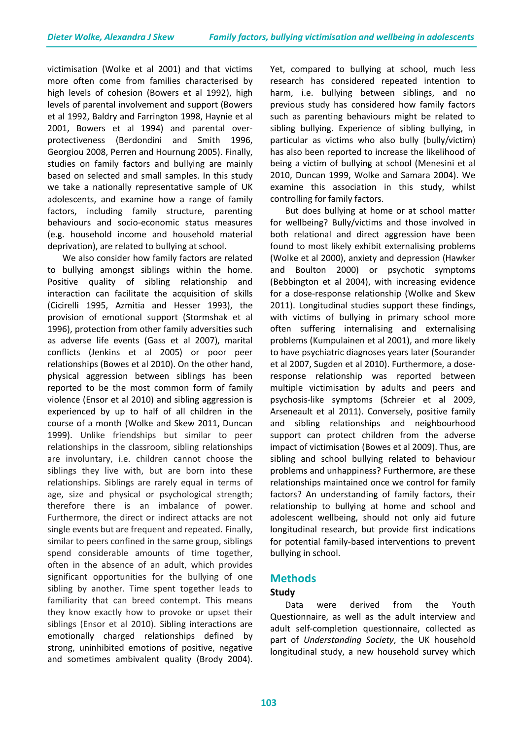victimisation (Wolke et al 2001) and that victims more often come from families characterised by high levels of cohesion (Bowers et al 1992), high levels of parental involvement and support (Bowers et al 1992, Baldry and Farrington 1998, Haynie et al 2001, Bowers et al 1994) and parental overprotectiveness (Berdondini and Smith 1996, Georgiou 2008, Perren and Hournung 2005). Finally, studies on family factors and bullying are mainly based on selected and small samples. In this study we take a nationally representative sample of UK adolescents, and examine how a range of family factors, including family structure, parenting behaviours and socio-economic status measures (e.g. household income and household material deprivation), are related to bullying at school.

We also consider how family factors are related to bullying amongst siblings within the home. Positive quality of sibling relationship and interaction can facilitate the acquisition of skills (Cicirelli 1995, Azmitia and Hesser 1993), the provision of emotional support (Stormshak et al 1996), protection from other family adversities such as adverse life events (Gass et al 2007), marital conflicts (Jenkins et al 2005) or poor peer relationships (Bowes et al 2010). On the other hand, physical aggression between siblings has been reported to be the most common form of family violence (Ensor et al 2010) and sibling aggression is experienced by up to half of all children in the course of a month (Wolke and Skew 2011, Duncan 1999). Unlike friendships but similar to peer relationships in the classroom, sibling relationships are involuntary, i.e. children cannot choose the siblings they live with, but are born into these relationships. Siblings are rarely equal in terms of age, size and physical or psychological strength; therefore there is an imbalance of power. Furthermore, the direct or indirect attacks are not single events but are frequent and repeated. Finally, similar to peers confined in the same group, siblings spend considerable amounts of time together, often in the absence of an adult, which provides significant opportunities for the bullying of one sibling by another. Time spent together leads to familiarity that can breed contempt. This means they know exactly how to provoke or upset their siblings (Ensor et al 2010). Sibling interactions are emotionally charged relationships defined by strong, uninhibited emotions of positive, negative and sometimes ambivalent quality (Brody 2004).

Yet, compared to bullying at school, much less research has considered repeated intention to harm, i.e. bullying between siblings, and no previous study has considered how family factors such as parenting behaviours might be related to sibling bullying. Experience of sibling bullying, in particular as victims who also bully (bully/victim) has also been reported to increase the likelihood of being a victim of bullying at school (Menesini et al 2010, Duncan 1999, Wolke and Samara 2004). We examine this association in this study, whilst controlling for family factors.

But does bullying at home or at school matter for wellbeing? Bully/victims and those involved in both relational and direct aggression have been found to most likely exhibit externalising problems (Wolke et al 2000), anxiety and depression (Hawker and Boulton 2000) or psychotic symptoms (Bebbington et al 2004), with increasing evidence for a dose-response relationship (Wolke and Skew 2011). Longitudinal studies support these findings, with victims of bullying in primary school more often suffering internalising and externalising problems (Kumpulainen et al 2001), and more likely to have psychiatric diagnoses years later (Sourander et al 2007, Sugden et al 2010). Furthermore, a doseresponse relationship was reported between multiple victimisation by adults and peers and psychosis-like symptoms (Schreier et al 2009, Arseneault et al 2011). Conversely, positive family and sibling relationships and neighbourhood support can protect children from the adverse impact of victimisation (Bowes et al 2009). Thus, are sibling and school bullying related to behaviour problems and unhappiness? Furthermore, are these relationships maintained once we control for family factors? An understanding of family factors, their relationship to bullying at home and school and adolescent wellbeing, should not only aid future longitudinal research, but provide first indications for potential family-based interventions to prevent bullying in school.

# **Methods**

# **Study**

Data were derived from the Youth Questionnaire, as well as the adult interview and adult self-completion questionnaire, collected as part of *Understanding Society*, the UK household longitudinal study, a new household survey which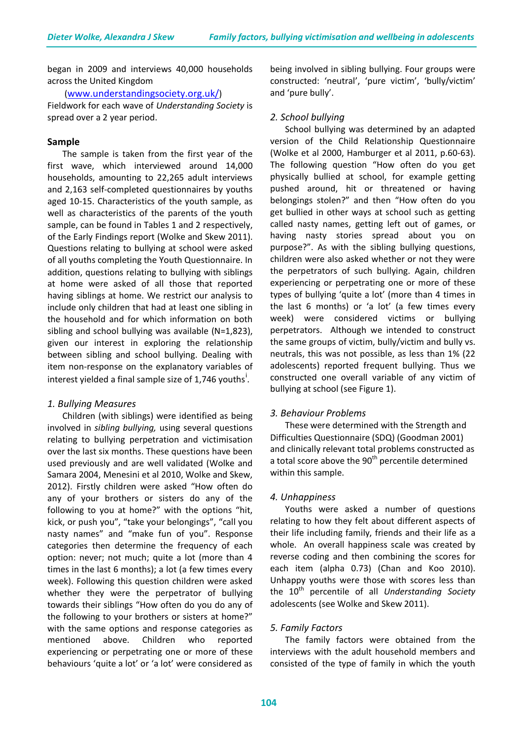began in 2009 and interviews 40,000 households across the United Kingdom

#### [\(www.understandingsociety.org.uk/\)](http://www.understandingsociety.org.uk/)

Fieldwork for each wave of *Understanding Society* is spread over a 2 year period.

#### **Sample**

The sample is taken from the first year of the first wave, which interviewed around 14,000 households, amounting to 22,265 adult interviews and 2,163 self-completed questionnaires by youths aged 10-15. Characteristics of the youth sample, as well as characteristics of the parents of the youth sample, can be found in Tables 1 and 2 respectively, of the Early Findings report (Wolke and Skew 2011). Questions relating to bullying at school were asked of all youths completing the Youth Questionnaire. In addition, questions relating to bullying with siblings at home were asked of all those that reported having siblings at home. We restrict our analysis to include only children that had at least one sibling in the household and for which information on both sibling and school bullying was available (N=1,823), given our interest in exploring the relationship between sibling and school bullying. Dealing with item non-response on the explanatory variables of [i](#page-18-0)nterest yielded a final sample size of 1,746 youths<sup>1</sup>.

#### *1. Bullying Measures*

Children (with siblings) were identified as being involved in *sibling bullying,* using several questions relating to bullying perpetration and victimisation over the last six months. These questions have been used previously and are well validated (Wolke and Samara 2004, Menesini et al 2010, Wolke and Skew, 2012). Firstly children were asked "How often do any of your brothers or sisters do any of the following to you at home?" with the options "hit, kick, or push you", "take your belongings", "call you nasty names" and "make fun of you". Response categories then determine the frequency of each option: never; not much; quite a lot (more than 4 times in the last 6 months); a lot (a few times every week). Following this question children were asked whether they were the perpetrator of bullying towards their siblings "How often do you do any of the following to your brothers or sisters at home?" with the same options and response categories as mentioned above. Children who reported experiencing or perpetrating one or more of these behaviours 'quite a lot' or 'a lot' were considered as

being involved in sibling bullying. Four groups were constructed: 'neutral', 'pure victim', 'bully/victim' and 'pure bully'.

#### *2. School bullying*

School bullying was determined by an adapted version of the Child Relationship Questionnaire (Wolke et al 2000, Hamburger et al 2011, p.60-63). The following question "How often do you get physically bullied at school, for example getting pushed around, hit or threatened or having belongings stolen?" and then "How often do you get bullied in other ways at school such as getting called nasty names, getting left out of games, or having nasty stories spread about you on purpose?". As with the sibling bullying questions, children were also asked whether or not they were the perpetrators of such bullying. Again, children experiencing or perpetrating one or more of these types of bullying 'quite a lot' (more than 4 times in the last 6 months) or 'a lot' (a few times every week) were considered victims or bullying perpetrators. Although we intended to construct the same groups of victim, bully/victim and bully vs. neutrals, this was not possible, as less than 1% (22 adolescents) reported frequent bullying. Thus we constructed one overall variable of any victim of bullying at school (see Figure 1).

#### *3. Behaviour Problems*

These were determined with the Strength and Difficulties Questionnaire (SDQ) (Goodman 2001) and clinically relevant total problems constructed as a total score above the 90<sup>th</sup> percentile determined within this sample.

#### *4. Unhappiness*

Youths were asked a number of questions relating to how they felt about different aspects of their life including family, friends and their life as a whole. An overall happiness scale was created by reverse coding and then combining the scores for each item (alpha 0.73) (Chan and Koo 2010). Unhappy youths were those with scores less than the 10th percentile of all *Understanding Society* adolescents (see Wolke and Skew 2011).

#### *5. Family Factors*

The family factors were obtained from the interviews with the adult household members and consisted of the type of family in which the youth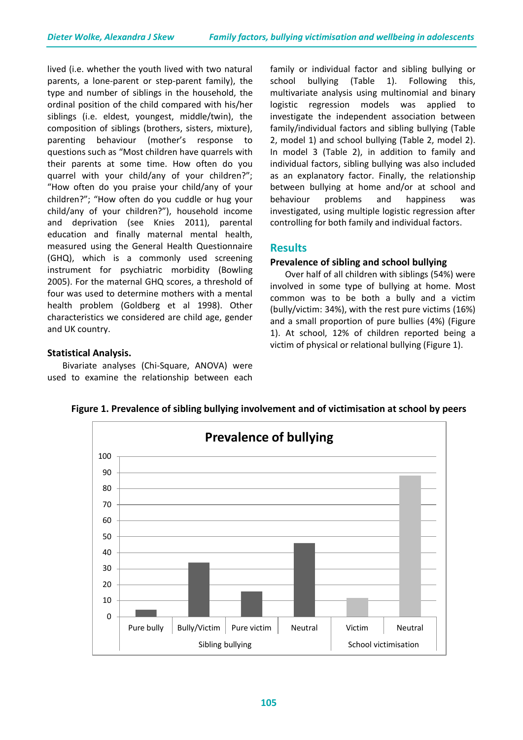lived (i.e. whether the youth lived with two natural parents, a lone-parent or step-parent family), the type and number of siblings in the household, the ordinal position of the child compared with his/her siblings (i.e. eldest, youngest, middle/twin), the composition of siblings (brothers, sisters, mixture), parenting behaviour (mother's response to questions such as "Most children have quarrels with their parents at some time. How often do you quarrel with your child/any of your children?"; "How often do you praise your child/any of your children?"; "How often do you cuddle or hug your child/any of your children?"), household income and deprivation (see Knies 2011), parental education and finally maternal mental health, measured using the General Health Questionnaire (GHQ), which is a commonly used screening instrument for psychiatric morbidity (Bowling 2005). For the maternal GHQ scores, a threshold of four was used to determine mothers with a mental health problem (Goldberg et al 1998). Other characteristics we considered are child age, gender and UK country.

# **Statistical Analysis.**

Bivariate analyses (Chi-Square, ANOVA) were used to examine the relationship between each

family or individual factor and sibling bullying or school bullying (Table 1). Following this, multivariate analysis using multinomial and binary logistic regression models was applied to investigate the independent association between family/individual factors and sibling bullying (Table 2, model 1) and school bullying (Table 2, model 2). In model 3 (Table 2), in addition to family and individual factors, sibling bullying was also included as an explanatory factor. Finally, the relationship between bullying at home and/or at school and behaviour problems and happiness was investigated, using multiple logistic regression after controlling for both family and individual factors.

# **Results**

#### **Prevalence of sibling and school bullying**

Over half of all children with siblings (54%) were involved in some type of bullying at home. Most common was to be both a bully and a victim (bully/victim: 34%), with the rest pure victims (16%) and a small proportion of pure bullies (4%) (Figure 1). At school, 12% of children reported being a victim of physical or relational bullying (Figure 1).



**Figure 1. Prevalence of sibling bullying involvement and of victimisation at school by peers**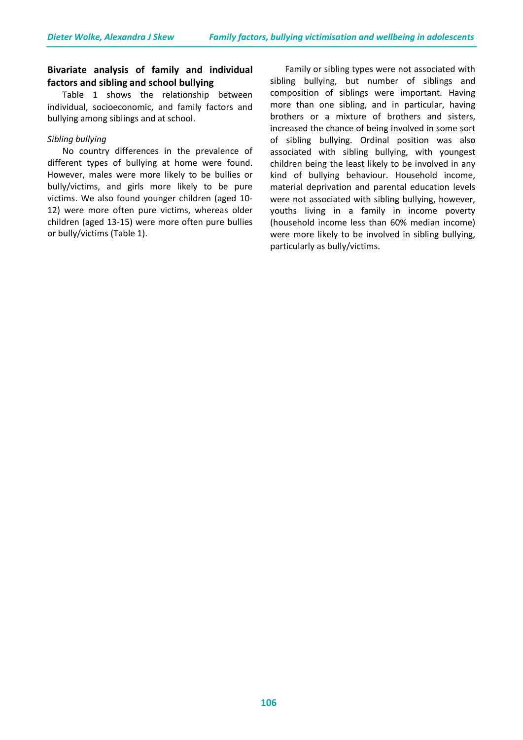# **Bivariate analysis of family and individual factors and sibling and school bullying**

Table 1 shows the relationship between individual, socioeconomic, and family factors and bullying among siblings and at school.

#### *Sibling bullying*

No country differences in the prevalence of different types of bullying at home were found. However, males were more likely to be bullies or bully/victims, and girls more likely to be pure victims. We also found younger children (aged 10- 12) were more often pure victims, whereas older children (aged 13-15) were more often pure bullies or bully/victims (Table 1).

Family or sibling types were not associated with sibling bullying, but number of siblings and composition of siblings were important. Having more than one sibling, and in particular, having brothers or a mixture of brothers and sisters, increased the chance of being involved in some sort of sibling bullying. Ordinal position was also associated with sibling bullying, with youngest children being the least likely to be involved in any kind of bullying behaviour. Household income, material deprivation and parental education levels were not associated with sibling bullying, however, youths living in a family in income poverty (household income less than 60% median income) were more likely to be involved in sibling bullying, particularly as bully/victims.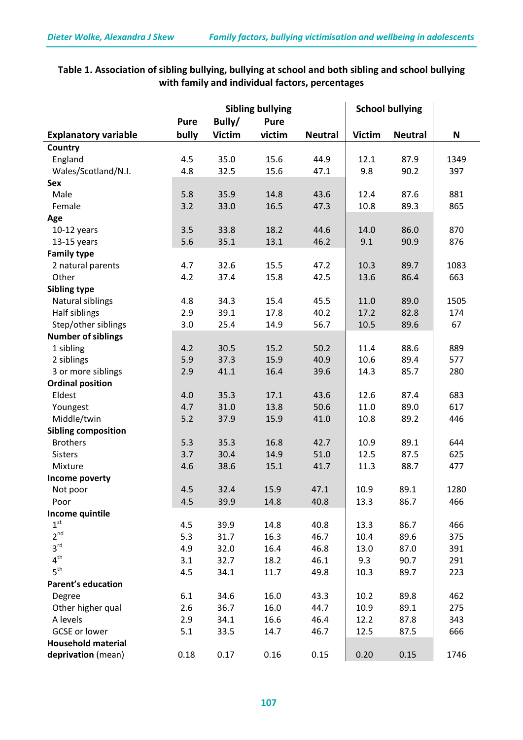# **Table 1. Association of sibling bullying, bullying at school and both sibling and school bullying with family and individual factors, percentages**

|                             | <b>Sibling bullying</b> |               |             | <b>School bullying</b> |               |                |      |
|-----------------------------|-------------------------|---------------|-------------|------------------------|---------------|----------------|------|
|                             | <b>Pure</b>             | Bully/        | <b>Pure</b> |                        |               |                |      |
| <b>Explanatory variable</b> | bully                   | <b>Victim</b> | victim      | <b>Neutral</b>         | <b>Victim</b> | <b>Neutral</b> | N    |
| Country                     |                         |               |             |                        |               |                |      |
| England                     | 4.5                     | 35.0          | 15.6        | 44.9                   | 12.1          | 87.9           | 1349 |
| Wales/Scotland/N.I.         | 4.8                     | 32.5          | 15.6        | 47.1                   | 9.8           | 90.2           | 397  |
| Sex                         |                         |               |             |                        |               |                |      |
| Male                        | 5.8                     | 35.9          | 14.8        | 43.6                   | 12.4          | 87.6           | 881  |
| Female                      | 3.2                     | 33.0          | 16.5        | 47.3                   | 10.8          | 89.3           | 865  |
| Age                         |                         |               |             |                        |               |                |      |
| $10-12$ years               | 3.5                     | 33.8          | 18.2        | 44.6                   | 14.0          | 86.0           | 870  |
| $13-15$ years               | 5.6                     | 35.1          | 13.1        | 46.2                   | 9.1           | 90.9           | 876  |
| <b>Family type</b>          |                         |               |             |                        |               |                |      |
| 2 natural parents           | 4.7                     | 32.6          | 15.5        | 47.2                   | 10.3          | 89.7           | 1083 |
| Other                       | 4.2                     | 37.4          | 15.8        | 42.5                   | 13.6          | 86.4           | 663  |
| <b>Sibling type</b>         |                         |               |             |                        |               |                |      |
| Natural siblings            | 4.8                     | 34.3          | 15.4        | 45.5                   | 11.0          | 89.0           | 1505 |
| Half siblings               | 2.9                     | 39.1          | 17.8        | 40.2                   | 17.2          | 82.8           | 174  |
| Step/other siblings         | 3.0                     | 25.4          | 14.9        | 56.7                   | 10.5          | 89.6           | 67   |
| <b>Number of siblings</b>   |                         |               |             |                        |               |                |      |
| 1 sibling                   | 4.2                     | 30.5          | 15.2        | 50.2                   | 11.4          | 88.6           | 889  |
| 2 siblings                  | 5.9                     | 37.3          | 15.9        | 40.9                   | 10.6          | 89.4           | 577  |
| 3 or more siblings          | 2.9                     | 41.1          | 16.4        | 39.6                   | 14.3          | 85.7           | 280  |
| <b>Ordinal position</b>     |                         |               |             |                        |               |                |      |
| Eldest                      | 4.0                     | 35.3          | 17.1        | 43.6                   | 12.6          | 87.4           | 683  |
| Youngest                    | 4.7                     | 31.0          | 13.8        | 50.6                   | 11.0          | 89.0           | 617  |
| Middle/twin                 | 5.2                     | 37.9          | 15.9        | 41.0                   | 10.8          | 89.2           | 446  |
| <b>Sibling composition</b>  |                         |               |             |                        |               |                |      |
| <b>Brothers</b>             | 5.3                     | 35.3          | 16.8        | 42.7                   | 10.9          | 89.1           | 644  |
| <b>Sisters</b>              | 3.7                     | 30.4          | 14.9        | 51.0                   | 12.5          | 87.5           | 625  |
| Mixture                     | 4.6                     | 38.6          | 15.1        | 41.7                   | 11.3          | 88.7           | 477  |
| Income poverty              |                         |               |             |                        |               |                |      |
| Not poor                    | 4.5                     | 32.4          | 15.9        | 47.1                   | 10.9          | 89.1           | 1280 |
| Poor                        | 4.5                     | 39.9          | 14.8        | 40.8                   | 13.3          | 86.7           | 466  |
| Income quintile             |                         |               |             |                        |               |                |      |
| 1 <sup>st</sup>             | 4.5                     | 39.9          | 14.8        | 40.8                   | 13.3          | 86.7           | 466  |
| 2 <sup>nd</sup>             | 5.3                     | 31.7          | 16.3        | 46.7                   | 10.4          | 89.6           | 375  |
| 3 <sup>rd</sup>             | 4.9                     | 32.0          | 16.4        | 46.8                   | 13.0          | 87.0           | 391  |
| 4 <sup>th</sup>             | 3.1                     | 32.7          | 18.2        | 46.1                   | 9.3           | 90.7           | 291  |
| 5 <sup>th</sup>             | 4.5                     | 34.1          | 11.7        | 49.8                   | 10.3          | 89.7           | 223  |
| <b>Parent's education</b>   |                         |               |             |                        |               |                |      |
| Degree                      | 6.1                     | 34.6          | 16.0        | 43.3                   | 10.2          | 89.8           | 462  |
| Other higher qual           | 2.6                     | 36.7          | 16.0        | 44.7                   | 10.9          | 89.1           | 275  |
| A levels                    | 2.9                     | 34.1          | 16.6        | 46.4                   | 12.2          | 87.8           | 343  |
| <b>GCSE</b> or lower        | 5.1                     | 33.5          | 14.7        | 46.7                   | 12.5          | 87.5           | 666  |
| <b>Household material</b>   |                         |               |             |                        |               |                |      |
| deprivation (mean)          | 0.18                    | 0.17          | 0.16        | 0.15                   | 0.20          | 0.15           | 1746 |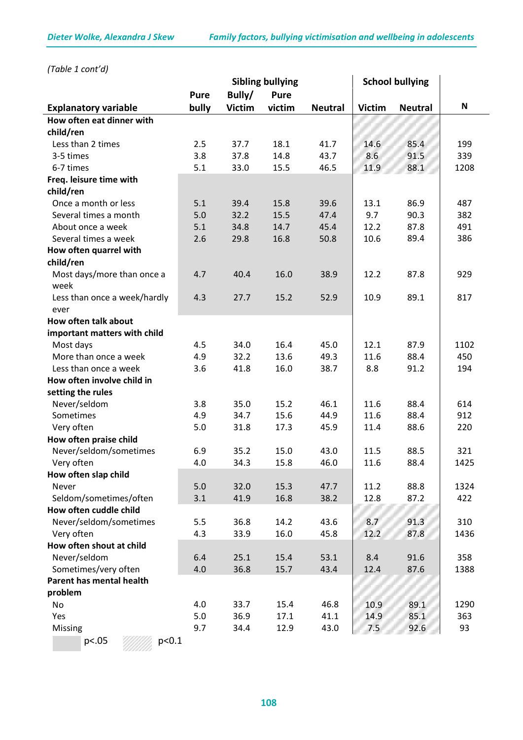*(Table 1 cont'd)*

|                                    |             |               | <b>Sibling bullying</b> |                |               | <b>School bullying</b> |                           |
|------------------------------------|-------------|---------------|-------------------------|----------------|---------------|------------------------|---------------------------|
|                                    | <b>Pure</b> | Bully/        | <b>Pure</b>             |                |               |                        |                           |
| <b>Explanatory variable</b>        | bully       | <b>Victim</b> | victim                  | <b>Neutral</b> | <b>Victim</b> | <b>Neutral</b>         | $\boldsymbol{\mathsf{N}}$ |
| How often eat dinner with          |             |               |                         |                |               |                        |                           |
| child/ren                          |             |               |                         |                |               |                        |                           |
| Less than 2 times                  | 2.5         | 37.7          | 18.1                    | 41.7           | 14.6          | 85.4                   | 199                       |
| 3-5 times                          | 3.8         | 37.8          | 14.8                    | 43.7           | 8.6           | 91.5                   | 339                       |
| 6-7 times                          | 5.1         | 33.0          | 15.5                    | 46.5           | 11.9          | 88.1                   | 1208                      |
| Freq. leisure time with            |             |               |                         |                |               |                        |                           |
| child/ren                          |             |               |                         |                |               |                        |                           |
| Once a month or less               | 5.1         | 39.4          | 15.8                    | 39.6           | 13.1          | 86.9                   | 487                       |
| Several times a month              | 5.0         | 32.2          | 15.5                    | 47.4           | 9.7           | 90.3                   | 382                       |
| About once a week                  | 5.1         | 34.8          | 14.7                    | 45.4           | 12.2          | 87.8                   | 491                       |
| Several times a week               | 2.6         | 29.8          | 16.8                    | 50.8           | 10.6          | 89.4                   | 386                       |
| How often quarrel with             |             |               |                         |                |               |                        |                           |
| child/ren                          |             |               |                         |                |               |                        |                           |
| Most days/more than once a<br>week | 4.7         | 40.4          | 16.0                    | 38.9           | 12.2          | 87.8                   | 929                       |
| Less than once a week/hardly       | 4.3         | 27.7          | 15.2                    | 52.9           | 10.9          | 89.1                   | 817                       |
| ever                               |             |               |                         |                |               |                        |                           |
| How often talk about               |             |               |                         |                |               |                        |                           |
| important matters with child       |             |               |                         |                |               |                        |                           |
| Most days                          | 4.5         | 34.0          | 16.4                    | 45.0           | 12.1          | 87.9                   | 1102                      |
| More than once a week              | 4.9         | 32.2          | 13.6                    | 49.3           | 11.6          | 88.4                   | 450                       |
| Less than once a week              | 3.6         | 41.8          | 16.0                    | 38.7           | 8.8           | 91.2                   | 194                       |
| How often involve child in         |             |               |                         |                |               |                        |                           |
| setting the rules                  |             |               |                         |                |               |                        |                           |
| Never/seldom                       | 3.8         | 35.0          | 15.2                    | 46.1           | 11.6          | 88.4                   | 614                       |
| Sometimes                          | 4.9         | 34.7          | 15.6                    | 44.9           | 11.6          | 88.4                   | 912                       |
| Very often                         | 5.0         | 31.8          | 17.3                    | 45.9           | 11.4          | 88.6                   | 220                       |
| How often praise child             |             |               |                         |                |               |                        |                           |
| Never/seldom/sometimes             | 6.9         | 35.2          | 15.0                    | 43.0           | 11.5          | 88.5                   | 321                       |
| Very often                         | 4.0         | 34.3          | 15.8                    | 46.0           | 11.6          | 88.4                   | 1425                      |
| How often slap child               |             |               |                         |                |               |                        |                           |
| Never                              | 5.0         | 32.0          | 15.3                    | 47.7           | 11.2          | 88.8                   | 1324                      |
| Seldom/sometimes/often             | 3.1         | 41.9          | 16.8                    | 38.2           | 12.8          | 87.2                   | 422                       |
| How often cuddle child             |             |               |                         |                |               |                        |                           |
| Never/seldom/sometimes             | 5.5         | 36.8          | 14.2                    | 43.6           | 8.7           | 91.3                   | 310                       |
| Very often                         | 4.3         | 33.9          | 16.0                    | 45.8           | 12.2          | 87.8                   | 1436                      |
| How often shout at child           |             |               |                         |                |               |                        |                           |
| Never/seldom                       | 6.4         | 25.1          | 15.4                    | 53.1           | 8.4           | 91.6                   | 358                       |
| Sometimes/very often               | 4.0         | 36.8          | 15.7                    | 43.4           | 12.4          | 87.6                   | 1388                      |
| Parent has mental health           |             |               |                         |                |               |                        |                           |
| problem                            |             |               |                         |                |               |                        |                           |
| No                                 | 4.0         | 33.7          | 15.4                    | 46.8           | 10.9          | 89.1                   | 1290                      |
| Yes                                | 5.0         | 36.9          | 17.1                    | 41.1           | 14.9          | 85.1                   | 363                       |
| Missing                            | 9.7         | 34.4          | 12.9                    | 43.0           | 7.5           | 92.6                   | 93                        |
| p<.05<br>p<0.1                     |             |               |                         |                |               |                        |                           |

$$
f_{\rm{max}}
$$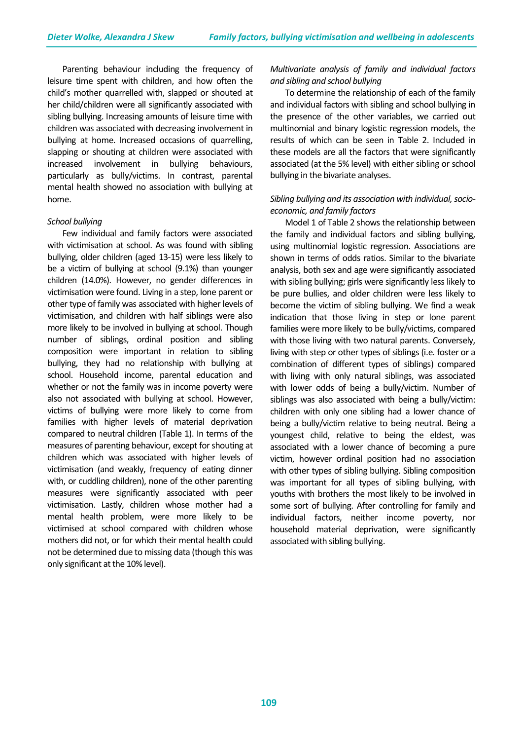Parenting behaviour including the frequency of leisure time spent with children, and how often the child's mother quarrelled with, slapped or shouted at her child/children were all significantly associated with sibling bullying. Increasing amounts of leisure time with children was associated with decreasing involvement in bullying at home. Increased occasions of quarrelling, slapping or shouting at children were associated with increased involvement in bullying behaviours, particularly as bully/victims. In contrast, parental mental health showed no association with bullying at home.

#### *School bullying*

Few individual and family factors were associated with victimisation at school. As was found with sibling bullying, older children (aged 13-15) were less likely to be a victim of bullying at school (9.1%) than younger children (14.0%). However, no gender differences in victimisation were found. Living in a step, lone parent or other type of family was associated with higher levels of victimisation, and children with half siblings were also more likely to be involved in bullying at school. Though number of siblings, ordinal position and sibling composition were important in relation to sibling bullying, they had no relationship with bullying at school. Household income, parental education and whether or not the family was in income poverty were also not associated with bullying at school. However, victims of bullying were more likely to come from families with higher levels of material deprivation compared to neutral children (Table 1). In terms of the measures of parenting behaviour, except for shouting at children which was associated with higher levels of victimisation (and weakly, frequency of eating dinner with, or cuddling children), none of the other parenting measures were significantly associated with peer victimisation. Lastly, children whose mother had a mental health problem, were more likely to be victimised at school compared with children whose mothers did not, or for which their mental health could not be determined due to missing data (though this was only significant at the 10% level).

# *Multivariate analysis of family and individual factors and sibling and school bullying*

To determine the relationship of each of the family and individual factors with sibling and school bullying in the presence of the other variables, we carried out multinomial and binary logistic regression models, the results of which can be seen in Table 2. Included in these models are all the factors that were significantly associated (at the 5% level) with either sibling or school bullying in the bivariate analyses.

# *Sibling bullying and its association with individual, socioeconomic, and family factors*

Model 1 of Table 2 shows the relationship between the family and individual factors and sibling bullying, using multinomial logistic regression. Associations are shown in terms of odds ratios. Similar to the bivariate analysis, both sex and age were significantly associated with sibling bullying; girls were significantly less likely to be pure bullies, and older children were less likely to become the victim of sibling bullying. We find a weak indication that those living in step or lone parent families were more likely to be bully/victims, compared with those living with two natural parents. Conversely, living with step or other types of siblings (i.e. foster or a combination of different types of siblings) compared with living with only natural siblings, was associated with lower odds of being a bully/victim. Number of siblings was also associated with being a bully/victim: children with only one sibling had a lower chance of being a bully/victim relative to being neutral. Being a youngest child, relative to being the eldest, was associated with a lower chance of becoming a pure victim, however ordinal position had no association with other types of sibling bullying. Sibling composition was important for all types of sibling bullying, with youths with brothers the most likely to be involved in some sort of bullying. After controlling for family and individual factors, neither income poverty, nor household material deprivation, were significantly associated with sibling bullying.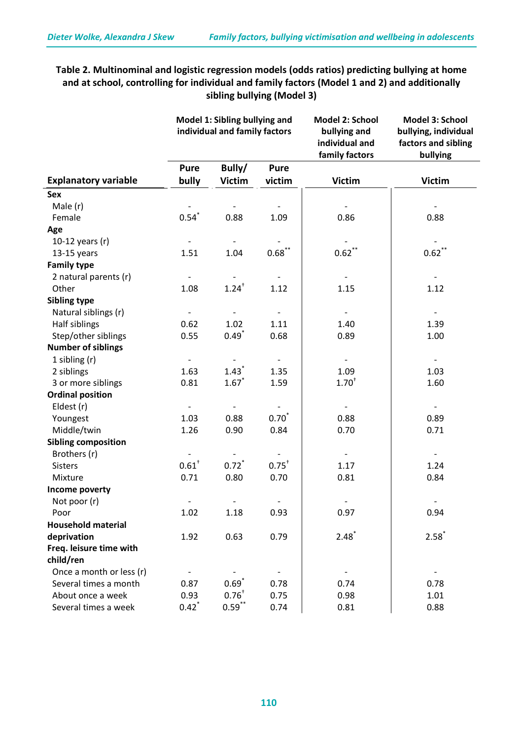# **Table 2. Multinominal and logistic regression models (odds ratios) predicting bullying at home and at school, controlling for individual and family factors (Model 1 and 2) and additionally sibling bullying (Model 3)**

|                             |                     | Model 1: Sibling bullying and<br>individual and family factors |                   | Model 2: School<br>bullying and<br>individual and<br>family factors | <b>Model 3: School</b><br>bullying, individual<br>factors and sibling<br>bullying |
|-----------------------------|---------------------|----------------------------------------------------------------|-------------------|---------------------------------------------------------------------|-----------------------------------------------------------------------------------|
|                             | Pure                | Bully/                                                         | <b>Pure</b>       |                                                                     |                                                                                   |
| <b>Explanatory variable</b> | bully               | <b>Victim</b>                                                  | victim            | <b>Victim</b>                                                       | <b>Victim</b>                                                                     |
| <b>Sex</b>                  |                     |                                                                |                   |                                                                     |                                                                                   |
| Male (r)                    |                     |                                                                |                   |                                                                     |                                                                                   |
| Female                      | $0.54$ <sup>*</sup> | 0.88                                                           | 1.09              | 0.86                                                                | 0.88                                                                              |
| Age                         |                     |                                                                |                   |                                                                     |                                                                                   |
| 10-12 years (r)             |                     |                                                                |                   |                                                                     |                                                                                   |
| $13-15$ years               | 1.51                | 1.04                                                           | $0.68$ **         | 0.62                                                                | $0.62$ **                                                                         |
| <b>Family type</b>          |                     |                                                                |                   |                                                                     |                                                                                   |
| 2 natural parents (r)       |                     |                                                                |                   |                                                                     |                                                                                   |
| Other                       | 1.08                | $1.24$ <sup>+</sup>                                            | 1.12              | 1.15                                                                | 1.12                                                                              |
| <b>Sibling type</b>         |                     |                                                                |                   |                                                                     |                                                                                   |
| Natural siblings (r)        |                     |                                                                |                   |                                                                     |                                                                                   |
| Half siblings               | 0.62                | 1.02                                                           | 1.11              | 1.40                                                                | 1.39                                                                              |
| Step/other siblings         | 0.55                | $0.49$ <sup>*</sup>                                            | 0.68              | 0.89                                                                | 1.00                                                                              |
| <b>Number of siblings</b>   |                     |                                                                |                   |                                                                     |                                                                                   |
| 1 sibling $(r)$             |                     |                                                                |                   |                                                                     | $\overline{\phantom{a}}$                                                          |
| 2 siblings                  | 1.63                | $1.43$ <sup>*</sup>                                            | 1.35              | 1.09                                                                | 1.03                                                                              |
| 3 or more siblings          | 0.81                | $1.67*$                                                        | 1.59              | $1.70^{+}$                                                          | 1.60                                                                              |
| <b>Ordinal position</b>     |                     |                                                                |                   |                                                                     |                                                                                   |
| Eldest (r)                  |                     |                                                                |                   | $\overline{\phantom{a}}$                                            |                                                                                   |
| Youngest                    | 1.03                | 0.88                                                           | $0.70^{*}$        | 0.88                                                                | 0.89                                                                              |
| Middle/twin                 | 1.26                | 0.90                                                           | 0.84              | 0.70                                                                | 0.71                                                                              |
| <b>Sibling composition</b>  |                     |                                                                |                   |                                                                     |                                                                                   |
| Brothers (r)                |                     |                                                                |                   |                                                                     |                                                                                   |
| <b>Sisters</b>              | $0.61$ <sup>+</sup> | $0.72$ <sup>*</sup>                                            | $0.75^+$          | 1.17                                                                | 1.24                                                                              |
| Mixture                     | 0.71                | 0.80                                                           | 0.70              | 0.81                                                                | 0.84                                                                              |
| Income poverty              |                     |                                                                |                   |                                                                     |                                                                                   |
| Not poor (r)                |                     |                                                                | $\qquad \qquad -$ |                                                                     | $\overline{\phantom{a}}$                                                          |
| Poor                        | 1.02                | 1.18                                                           | 0.93              | 0.97                                                                | 0.94                                                                              |
| <b>Household material</b>   |                     |                                                                |                   |                                                                     |                                                                                   |
| deprivation                 | 1.92                | 0.63                                                           | 0.79              | $2.48$ <sup>*</sup>                                                 | $2.58^*$                                                                          |
| Freq. leisure time with     |                     |                                                                |                   |                                                                     |                                                                                   |
| child/ren                   |                     |                                                                |                   |                                                                     |                                                                                   |
| Once a month or less (r)    |                     |                                                                |                   |                                                                     |                                                                                   |
| Several times a month       | 0.87                | $0.69^*$                                                       | 0.78              | 0.74                                                                | 0.78                                                                              |
| About once a week           | 0.93                | $0.76^{+}$                                                     | 0.75              | 0.98                                                                | 1.01                                                                              |
| Several times a week        | $0.42$ <sup>*</sup> | $0.59$ **                                                      | 0.74              | 0.81                                                                | 0.88                                                                              |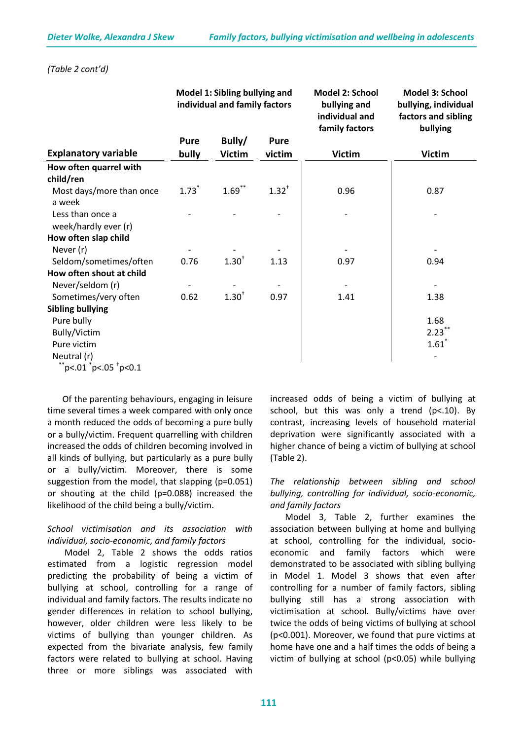|                                          |             | Model 1: Sibling bullying and<br>individual and family factors |             | Model 2: School<br>bullying and<br>individual and<br>family factors | Model 3: School<br>bullying, individual<br>factors and sibling<br>bullying |
|------------------------------------------|-------------|----------------------------------------------------------------|-------------|---------------------------------------------------------------------|----------------------------------------------------------------------------|
|                                          | <b>Pure</b> | Bully/                                                         | <b>Pure</b> |                                                                     |                                                                            |
| <b>Explanatory variable</b>              | bully       | <b>Victim</b>                                                  | victim      | <b>Victim</b>                                                       | <b>Victim</b>                                                              |
| How often quarrel with                   |             |                                                                |             |                                                                     |                                                                            |
| child/ren                                |             |                                                                |             |                                                                     |                                                                            |
| Most days/more than once<br>a week       | $1.73*$     | $1.69$ **                                                      | $1.32^{+}$  | 0.96                                                                | 0.87                                                                       |
| Less than once a<br>week/hardly ever (r) |             |                                                                |             |                                                                     |                                                                            |
| How often slap child                     |             |                                                                |             |                                                                     |                                                                            |
| Never (r)                                |             |                                                                |             |                                                                     |                                                                            |
| Seldom/sometimes/often                   | 0.76        | $1.30^{+}$                                                     | 1.13        | 0.97                                                                | 0.94                                                                       |
| How often shout at child                 |             |                                                                |             |                                                                     |                                                                            |
| Never/seldom (r)                         |             |                                                                |             |                                                                     |                                                                            |
| Sometimes/very often                     | 0.62        | $1.30^{+}$                                                     | 0.97        | 1.41                                                                | 1.38                                                                       |
| <b>Sibling bullying</b>                  |             |                                                                |             |                                                                     |                                                                            |
| Pure bully                               |             |                                                                |             |                                                                     | 1.68                                                                       |
| Bully/Victim                             |             |                                                                |             |                                                                     | $2.23$ **                                                                  |
| Pure victim                              |             |                                                                |             |                                                                     | $1.61$ <sup>*</sup>                                                        |
| Neutral (r)                              |             |                                                                |             |                                                                     |                                                                            |
| $\text{"p<.01"}$ p<.05 $\text{"p<0.1"}$  |             |                                                                |             |                                                                     |                                                                            |

#### *(Table 2 cont'd)*

Of the parenting behaviours, engaging in leisure time several times a week compared with only once a month reduced the odds of becoming a pure bully or a bully/victim. Frequent quarrelling with children increased the odds of children becoming involved in all kinds of bullying, but particularly as a pure bully or a bully/victim. Moreover, there is some suggestion from the model, that slapping (p=0.051) or shouting at the child (p=0.088) increased the likelihood of the child being a bully/victim.

# *School victimisation and its association with individual, socio-economic, and family factors*

Model 2, Table 2 shows the odds ratios estimated from a logistic regression model predicting the probability of being a victim of bullying at school, controlling for a range of individual and family factors. The results indicate no gender differences in relation to school bullying, however, older children were less likely to be victims of bullying than younger children. As expected from the bivariate analysis, few family factors were related to bullying at school. Having three or more siblings was associated with

increased odds of being a victim of bullying at school, but this was only a trend (p<.10). By contrast, increasing levels of household material deprivation were significantly associated with a higher chance of being a victim of bullying at school (Table 2).

# *The relationship between sibling and school bullying, controlling for individual, socio-economic, and family factors*

Model 3, Table 2, further examines the association between bullying at home and bullying at school, controlling for the individual, socioeconomic and family factors which were demonstrated to be associated with sibling bullying in Model 1. Model 3 shows that even after controlling for a number of family factors, sibling bullying still has a strong association with victimisation at school. Bully/victims have over twice the odds of being victims of bullying at school (p<0.001). Moreover, we found that pure victims at home have one and a half times the odds of being a victim of bullying at school (p<0.05) while bullying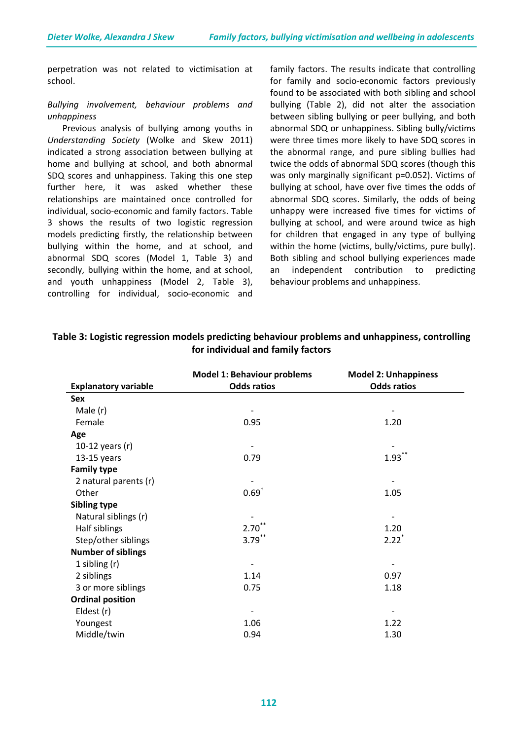perpetration was not related to victimisation at school.

#### *Bullying involvement, behaviour problems and unhappiness*

Previous analysis of bullying among youths in *Understanding Society* (Wolke and Skew 2011) indicated a strong association between bullying at home and bullying at school, and both abnormal SDQ scores and unhappiness. Taking this one step further here, it was asked whether these relationships are maintained once controlled for individual, socio-economic and family factors. Table 3 shows the results of two logistic regression models predicting firstly, the relationship between bullying within the home, and at school, and abnormal SDQ scores (Model 1, Table 3) and secondly, bullying within the home, and at school, and youth unhappiness (Model 2, Table 3), controlling for individual, socio-economic and family factors. The results indicate that controlling for family and socio-economic factors previously found to be associated with both sibling and school bullying (Table 2), did not alter the association between sibling bullying or peer bullying, and both abnormal SDQ or unhappiness. Sibling bully/victims were three times more likely to have SDQ scores in the abnormal range, and pure sibling bullies had twice the odds of abnormal SDQ scores (though this was only marginally significant p=0.052). Victims of bullying at school, have over five times the odds of abnormal SDQ scores. Similarly, the odds of being unhappy were increased five times for victims of bullying at school, and were around twice as high for children that engaged in any type of bullying within the home (victims, bully/victims, pure bully). Both sibling and school bullying experiences made an independent contribution to predicting behaviour problems and unhappiness.

|                             | <b>Model 1: Behaviour problems</b> | <b>Model 2: Unhappiness</b> |
|-----------------------------|------------------------------------|-----------------------------|
| <b>Explanatory variable</b> | <b>Odds ratios</b>                 | <b>Odds ratios</b>          |
| Sex                         |                                    |                             |
| Male (r)                    |                                    |                             |
| Female                      | 0.95                               | 1.20                        |
| Age                         |                                    |                             |
| 10-12 years $(r)$           |                                    |                             |
| $13-15$ years               | 0.79                               | $1.93***$                   |
| <b>Family type</b>          |                                    |                             |
| 2 natural parents (r)       |                                    |                             |
| Other                       | $0.69^{+}$                         | 1.05                        |
| Sibling type                |                                    |                             |
| Natural siblings (r)        |                                    |                             |
| Half siblings               | $2.70^{^{\circ}}$                  | 1.20                        |
| Step/other siblings         | $3.79$ **                          | $2.22$ <sup>*</sup>         |
| <b>Number of siblings</b>   |                                    |                             |
| 1 sibling $(r)$             |                                    |                             |
| 2 siblings                  | 1.14                               | 0.97                        |
| 3 or more siblings          | 0.75                               | 1.18                        |
| <b>Ordinal position</b>     |                                    |                             |
| Eldest (r)                  |                                    |                             |
| Youngest                    | 1.06                               | 1.22                        |
| Middle/twin                 | 0.94                               | 1.30                        |

# **Table 3: Logistic regression models predicting behaviour problems and unhappiness, controlling for individual and family factors**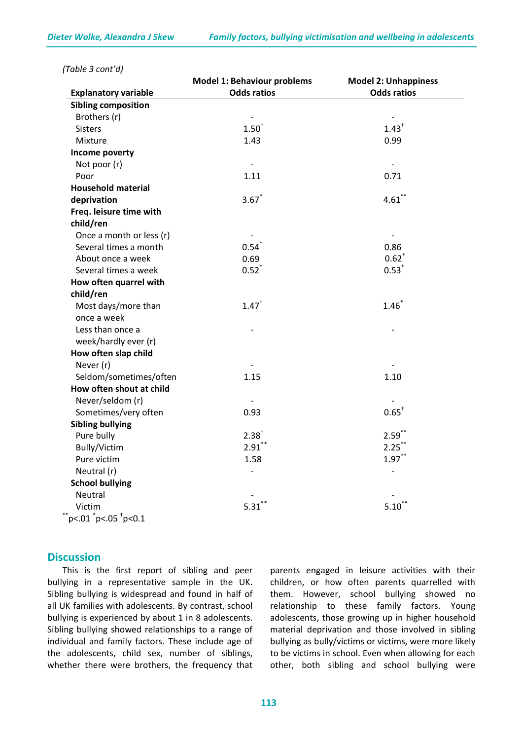|                               | <b>Model 1: Behaviour problems</b> | <b>Model 2: Unhappiness</b> |
|-------------------------------|------------------------------------|-----------------------------|
| <b>Explanatory variable</b>   | <b>Odds ratios</b>                 | <b>Odds ratios</b>          |
| <b>Sibling composition</b>    |                                    |                             |
| Brothers (r)                  |                                    |                             |
| <b>Sisters</b>                | 1.50 <sup>†</sup>                  | $1.43$ <sup>+</sup>         |
| Mixture                       | 1.43                               | 0.99                        |
| Income poverty                |                                    |                             |
| Not poor (r)                  | $\overline{\phantom{a}}$           | $\sim$                      |
| Poor                          | 1.11                               | 0.71                        |
| <b>Household material</b>     |                                    |                             |
| deprivation                   | $3.67*$                            | $4.61$ **                   |
| Freq. leisure time with       |                                    |                             |
| child/ren                     |                                    |                             |
| Once a month or less (r)      |                                    | $\overline{\phantom{a}}$    |
| Several times a month         | $0.54$ <sup>*</sup>                | 0.86                        |
| About once a week             | 0.69                               | $0.62$ <sup>*</sup>         |
| Several times a week          | $0.52$ <sup>*</sup>                | $0.53^{*}$                  |
| How often quarrel with        |                                    |                             |
| child/ren                     |                                    |                             |
| Most days/more than           | $1.47$ <sup>+</sup>                | $1.46*$                     |
| once a week                   |                                    |                             |
| Less than once a              |                                    |                             |
| week/hardly ever (r)          |                                    |                             |
| How often slap child          |                                    |                             |
| Never (r)                     |                                    |                             |
| Seldom/sometimes/often        | 1.15                               | 1.10                        |
| How often shout at child      |                                    |                             |
| Never/seldom (r)              |                                    |                             |
| Sometimes/very often          | 0.93                               | $0.65^+$                    |
| <b>Sibling bullying</b>       |                                    |                             |
| Pure bully                    | $2.38^{+}$                         | $2.59***$                   |
| Bully/Victim                  | $2.91$ **                          | $2.25$ **                   |
| Pure victim                   | 1.58                               | $1.97***$                   |
| Neutral (r)                   | $\overline{a}$                     |                             |
| <b>School bullying</b>        |                                    |                             |
| Neutral                       |                                    |                             |
| Victim                        | 5.31                               | 5.10                        |
| $*$ p<.01 $*$ p<.05 $*$ p<0.1 |                                    |                             |

*(Table 3 cont'd)*

#### **Discussion**

This is the first report of sibling and peer bullying in a representative sample in the UK. Sibling bullying is widespread and found in half of all UK families with adolescents. By contrast, school bullying is experienced by about 1 in 8 adolescents. Sibling bullying showed relationships to a range of individual and family factors. These include age of the adolescents, child sex, number of siblings, whether there were brothers, the frequency that

parents engaged in leisure activities with their children, or how often parents quarrelled with them. However, school bullying showed no relationship to these family factors. Young adolescents, those growing up in higher household material deprivation and those involved in sibling bullying as bully/victims or victims, were more likely to be victims in school. Even when allowing for each other, both sibling and school bullying were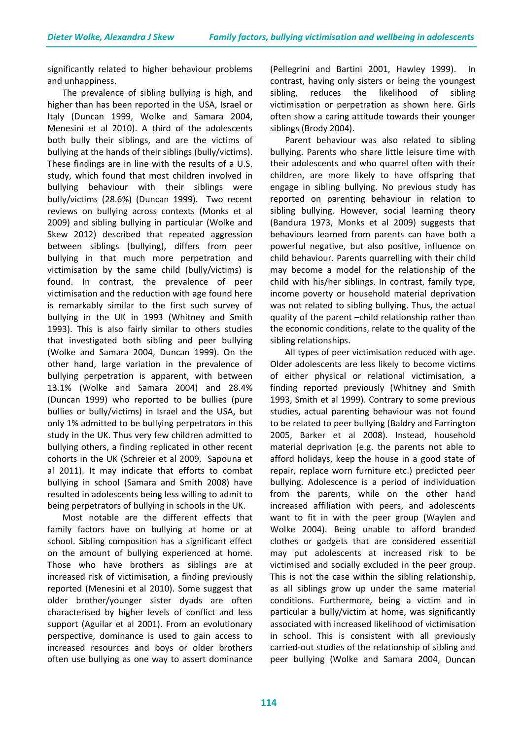significantly related to higher behaviour problems and unhappiness.

The prevalence of sibling bullying is high, and higher than has been reported in the USA, Israel or Italy (Duncan 1999, Wolke and Samara 2004, Menesini et al 2010). A third of the adolescents both bully their siblings, and are the victims of bullying at the hands of their siblings (bully/victims). These findings are in line with the results of a U.S. study, which found that most children involved in bullying behaviour with their siblings were bully/victims (28.6%) (Duncan 1999). Two recent reviews on bullying across contexts (Monks et al 2009) and sibling bullying in particular (Wolke and Skew 2012) described that repeated aggression between siblings (bullying), differs from peer bullying in that much more perpetration and victimisation by the same child (bully/victims) is found. In contrast, the prevalence of peer victimisation and the reduction with age found here is remarkably similar to the first such survey of bullying in the UK in 1993 (Whitney and Smith 1993). This is also fairly similar to others studies that investigated both sibling and peer bullying (Wolke and Samara 2004, Duncan 1999). On the other hand, large variation in the prevalence of bullying perpetration is apparent, with between 13.1% (Wolke and Samara 2004) and 28.4% (Duncan 1999) who reported to be bullies (pure bullies or bully/victims) in Israel and the USA, but only 1% admitted to be bullying perpetrators in this study in the UK. Thus very few children admitted to bullying others, a finding replicated in other recent cohorts in the UK (Schreier et al 2009, Sapouna et al 2011). It may indicate that efforts to combat bullying in school (Samara and Smith 2008) have resulted in adolescents being less willing to admit to being perpetrators of bullying in schools in the UK.

Most notable are the different effects that family factors have on bullying at home or at school. Sibling composition has a significant effect on the amount of bullying experienced at home. Those who have brothers as siblings are at increased risk of victimisation, a finding previously reported (Menesini et al 2010). Some suggest that older brother/younger sister dyads are often characterised by higher levels of conflict and less support (Aguilar et al 2001). From an evolutionary perspective, dominance is used to gain access to increased resources and boys or older brothers often use bullying as one way to assert dominance

(Pellegrini and Bartini 2001, Hawley 1999). In contrast, having only sisters or being the youngest sibling, reduces the likelihood of sibling victimisation or perpetration as shown here. Girls often show a caring attitude towards their younger siblings (Brody 2004).

Parent behaviour was also related to sibling bullying. Parents who share little leisure time with their adolescents and who quarrel often with their children, are more likely to have offspring that engage in sibling bullying. No previous study has reported on parenting behaviour in relation to sibling bullying. However, social learning theory (Bandura 1973, Monks et al 2009) suggests that behaviours learned from parents can have both a powerful negative, but also positive, influence on child behaviour. Parents quarrelling with their child may become a model for the relationship of the child with his/her siblings. In contrast, family type, income poverty or household material deprivation was not related to sibling bullying. Thus, the actual quality of the parent –child relationship rather than the economic conditions, relate to the quality of the sibling relationships.

All types of peer victimisation reduced with age. Older adolescents are less likely to become victims of either physical or relational victimisation, a finding reported previously (Whitney and Smith 1993, Smith et al 1999). Contrary to some previous studies, actual parenting behaviour was not found to be related to peer bullying (Baldry and Farrington 2005, Barker et al 2008). Instead, household material deprivation (e.g. the parents not able to afford holidays, keep the house in a good state of repair, replace worn furniture etc.) predicted peer bullying. Adolescence is a period of individuation from the parents, while on the other hand increased affiliation with peers, and adolescents want to fit in with the peer group (Waylen and Wolke 2004). Being unable to afford branded clothes or gadgets that are considered essential may put adolescents at increased risk to be victimised and socially excluded in the peer group. This is not the case within the sibling relationship, as all siblings grow up under the same material conditions. Furthermore, being a victim and in particular a bully/victim at home, was significantly associated with increased likelihood of victimisation in school. This is consistent with all previously carried-out studies of the relationship of sibling and peer bullying (Wolke and Samara 2004, Duncan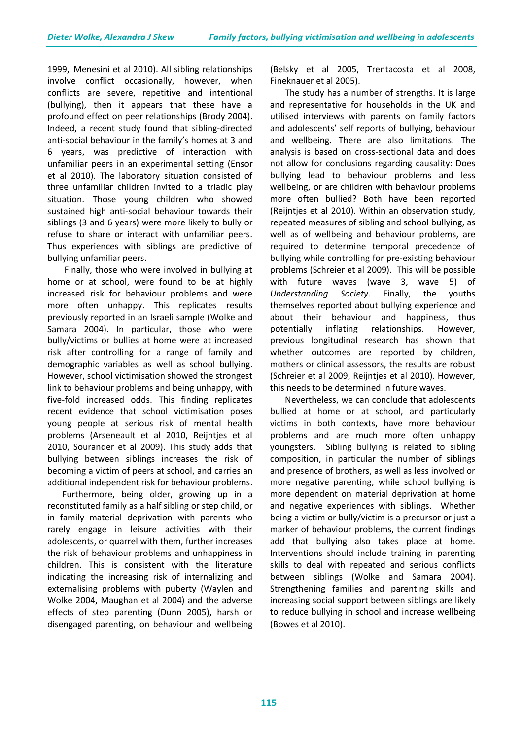1999, Menesini et al 2010). All sibling relationships involve conflict occasionally, however, when conflicts are severe, repetitive and intentional (bullying), then it appears that these have a profound effect on peer relationships (Brody 2004). Indeed, a recent study found that sibling-directed anti-social behaviour in the family's homes at 3 and 6 years, was predictive of interaction with unfamiliar peers in an experimental setting (Ensor et al 2010). The laboratory situation consisted of three unfamiliar children invited to a triadic play situation. Those young children who showed sustained high anti-social behaviour towards their siblings (3 and 6 years) were more likely to bully or refuse to share or interact with unfamiliar peers. Thus experiences with siblings are predictive of bullying unfamiliar peers.

Finally, those who were involved in bullying at home or at school, were found to be at highly increased risk for behaviour problems and were more often unhappy. This replicates results previously reported in an Israeli sample (Wolke and Samara 2004). In particular, those who were bully/victims or bullies at home were at increased risk after controlling for a range of family and demographic variables as well as school bullying. However, school victimisation showed the strongest link to behaviour problems and being unhappy, with five-fold increased odds. This finding replicates recent evidence that school victimisation poses young people at serious risk of mental health problems (Arseneault et al 2010, Reijntjes et al 2010, Sourander et al 2009). This study adds that bullying between siblings increases the risk of becoming a victim of peers at school, and carries an additional independent risk for behaviour problems.

Furthermore, being older, growing up in a reconstituted family as a half sibling or step child, or in family material deprivation with parents who rarely engage in leisure activities with their adolescents, or quarrel with them, further increases the risk of behaviour problems and unhappiness in children. This is consistent with the literature indicating the increasing risk of internalizing and externalising problems with puberty (Waylen and Wolke 2004, Maughan et al 2004) and the adverse effects of step parenting (Dunn 2005), harsh or disengaged parenting, on behaviour and wellbeing (Belsky et al 2005, Trentacosta et al 2008, Fineknauer et al 2005).

The study has a number of strengths. It is large and representative for households in the UK and utilised interviews with parents on family factors and adolescents' self reports of bullying, behaviour and wellbeing. There are also limitations. The analysis is based on cross-sectional data and does not allow for conclusions regarding causality: Does bullying lead to behaviour problems and less wellbeing, or are children with behaviour problems more often bullied? Both have been reported (Reijntjes et al 2010). Within an observation study, repeated measures of sibling and school bullying, as well as of wellbeing and behaviour problems, are required to determine temporal precedence of bullying while controlling for pre-existing behaviour problems (Schreier et al 2009). This will be possible with future waves (wave 3, wave 5) of *Understanding Society*. Finally, the youths themselves reported about bullying experience and about their behaviour and happiness, thus potentially inflating relationships. However, previous longitudinal research has shown that whether outcomes are reported by children, mothers or clinical assessors, the results are robust (Schreier et al 2009, Reijntjes et al 2010). However, this needs to be determined in future waves.

Nevertheless, we can conclude that adolescents bullied at home or at school, and particularly victims in both contexts, have more behaviour problems and are much more often unhappy youngsters. Sibling bullying is related to sibling composition, in particular the number of siblings and presence of brothers, as well as less involved or more negative parenting, while school bullying is more dependent on material deprivation at home and negative experiences with siblings. Whether being a victim or bully/victim is a precursor or just a marker of behaviour problems, the current findings add that bullying also takes place at home. Interventions should include training in parenting skills to deal with repeated and serious conflicts between siblings (Wolke and Samara 2004). Strengthening families and parenting skills and increasing social support between siblings are likely to reduce bullying in school and increase wellbeing (Bowes et al 2010).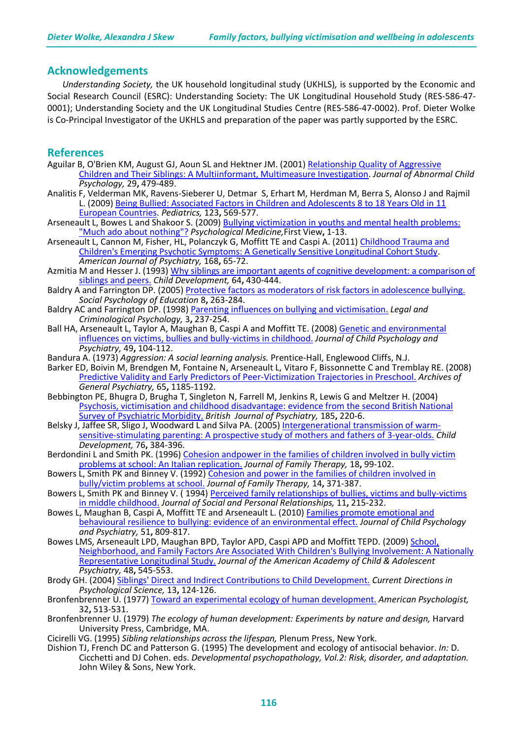# **Acknowledgements**

*Understanding Society,* the UK household longitudinal study (UKHLS)*,* is supported by the Economic and Social Research Council (ESRC): Understanding Society: The UK Longitudinal Household Study (RES-586-47- 0001); Understanding Society and the UK Longitudinal Studies Centre (RES-586-47-0002). Prof. Dieter Wolke is Co-Principal Investigator of the UKHLS and preparation of the paper was partly supported by the ESRC.

# **References**

- Aguilar B, O'Brien KM, August GJ, Aoun SL and Hektner JM. (2001) [Relationship Quality of Aggressive](http://www.springerlink.com/content/hn3x6352141283h6/)  [Children and Their Siblings: A Multiinformant, Multimeasure Investigation.](http://www.springerlink.com/content/hn3x6352141283h6/) *Journal of Abnormal Child Psychology,* 29**,** 479-489.
- Analitis F, Velderman MK, Ravens-Sieberer U, Detmar S, Erhart M, Herdman M, Berra S, Alonso J and Rajmil L. (2009) [Being Bullied: Associated Factors in Children and Adolescents 8 to](http://pediatrics.aappublications.org/content/123/2/569) 18 Years Old in 11 [European Countries.](http://pediatrics.aappublications.org/content/123/2/569) *Pediatrics,* 123**,** 569-577.
- Arseneault L, Bowes L and Shakoor S. (2009) [Bullying victimization in youths and mental health problems:](http://journals.cambridge.org/action/displayAbstract?fromPage=online&aid=7436200)  ["Much ado about nothing"?](http://journals.cambridge.org/action/displayAbstract?fromPage=online&aid=7436200) *Psychological Medicine,*First View**,** 1-13.
- Arseneault L, Cannon M, Fisher, HL, Polanczyk G, Moffitt TE and Caspi A. (2011) Childhood Trauma and [Children's Emerging Psychotic Symptoms: A Genetically Sensitive Longitudinal Cohort Study.](http://ajp.psychiatryonline.org/article.aspx?articleid=102559) *American Journal of Psychiatry,* 168**,** 65-72.
- Azmitia M and Hesser J. (1993) Why siblings are important agents of cognitive development: a comparison of [siblings and peers.](http://onlinelibrary.wiley.com/doi/10.1111/j.1467-8624.1993.tb02919.x/abstract) *Child Development,* 64**,** 430-444.
- Baldry A and Farrington DP. (2005) **Protective factors as moderators of risk factors in adolescence bullving**. *Social Psychology of Education* 8**,** 263-284.
- Baldry AC and Farrington DP. (1998) [Parenting influences on bullying and victimisation.](http://onlinelibrary.wiley.com/doi/10.1111/j.2044-8333.1998.tb00364.x/abstract) *Legal and Criminological Psychology,* 3**,** 237-254.
- Ball HA, Arseneault L, Taylor A, Maughan B, Caspi A and Moffitt TE. (2008) [Genetic and environmental](http://onlinelibrary.wiley.com/doi/10.1111/j.1469-7610.2007.01821.x/abstract)  [influences on victims, bullies and bully-victims in childhood.](http://onlinelibrary.wiley.com/doi/10.1111/j.1469-7610.2007.01821.x/abstract) *Journal of Child Psychology and Psychiatry,* 49**,** 104-112.
- Bandura A. (1973) *Aggression: A social learning analysis.* Prentice-Hall, Englewood Cliffs, N.J.
- Barker ED, Boivin M, Brendgen M, Fontaine N, Arseneault L, Vitaro F, Bissonnette C and Tremblay RE. (2008) [Predictive Validity and Early Predictors of Peer-Victimization Trajectories in Preschool.](http://archpsyc.ama-assn.org/cgi/content/abstract/65/10/1185) *Archives of General Psychiatry,* 65**,** 1185-1192.
- Bebbington PE, Bhugra D, Brugha T, Singleton N, Farrell M, Jenkins R, Lewis G and Meltzer H. (2004) [Psychosis, victimisation and childhood disadvantage: evidence from the second British National](http://bjp.rcpsych.org/content/185/3/220)  [Survey of Psychiatric Morbidity.](http://bjp.rcpsych.org/content/185/3/220) *British Journal of Psychiatry,* 185**,** 220-6.
- Belsky J, Jaffee SR, Sligo J, Woodward <sup>L</sup> and Silva PA. (2005) [Intergenerational transmission of warm-](http://onlinelibrary.wiley.com/doi/10.1111/j.1467-8624.2005.00852.x/abstract) [sensitive-stimulating parenting: A prospective study of mothers and fathers of 3-year-olds.](http://onlinelibrary.wiley.com/doi/10.1111/j.1467-8624.2005.00852.x/abstract) *Child Development,* 76**,** 384-396.
- Berdondini L and Smith PK. (1996) Cohesion andpower in the families of children involved in bully victim [problems at school: An Italian replication.](http://onlinelibrary.wiley.com/doi/10.1111/j.1467-6427.1996.tb00036.x/abstract) *Journal of Family Therapy,* 18**,** 99-102.
- Bowers L, Smith PK and Binney V. (1992) [Cohesion and power in the families of children involved in](http://onlinelibrary.wiley.com/doi/10.1046/j..1992.00467.x/abstract)  [bully/victim problems at school.](http://onlinelibrary.wiley.com/doi/10.1046/j..1992.00467.x/abstract) *Journal of Family Therapy,* 14**,** 371-387.
- Bowers L, Smith PK and Binney V. (1994) Perceived family relationships of bullies, victims and bully-victims [in middle childhood.](http://spr.sagepub.com/content/11/2/215) *Journal of Social and Personal Relationships,* 11**,** 215-232.
- Bowes L, Maughan B, Caspi A, Moffitt TE and Arseneault L. (2010) [Families promote emotional and](http://onlinelibrary.wiley.com/doi/10.1111/j.1469-7610.2010.02216.x/abstract)  [behavioural resilience to bullying: evidence of an environmental effect.](http://onlinelibrary.wiley.com/doi/10.1111/j.1469-7610.2010.02216.x/abstract) *Journal of Child Psychology and Psychiatry,* 51**,** 809-817.
- Bowes LMS, Arseneault LPD, Maughan BPD, Taylor APD, Caspi APD and Moffitt TEPD. (2009) School, [Neighborhood, and Family Factors Are Associated With Children's Bullying Involvement: A Nationally](http://www.sciencedirect.com/science/article/pii/S089085670960071X)  [Representative Longitudinal Study.](http://www.sciencedirect.com/science/article/pii/S089085670960071X) *Journal of the American Academy of Child & Adolescent Psychiatry,* 48**,** 545-553.
- Brody GH. (2004) [Siblings' Direct and Indirect Contributions to Child Development.](http://cdp.sagepub.com/content/13/3/124) *Current Directions in Psychological Science,* 13**,** 124-126.
- Bronfenbrenner U. (1977) [Toward an experimental ecology of human development.](http://psycnet.apa.org/journals/amp/32/7/513/) *American Psychologist,* 32**,** 513-531.
- Bronfenbrenner U. (1979) *The ecology of human development: Experiments by nature and design,* Harvard University Press, Cambridge, MA.
- Cicirelli VG. (1995) *Sibling relationships across the lifespan,* Plenum Press, New York.
- Dishion TJ, French DC and Patterson G. (1995) The development and ecology of antisocial behavior. *In:* D. Cicchetti and DJ Cohen. eds. *Developmental psychopathology, Vol.2: Risk, disorder, and adaptation.* John Wiley & Sons, New York.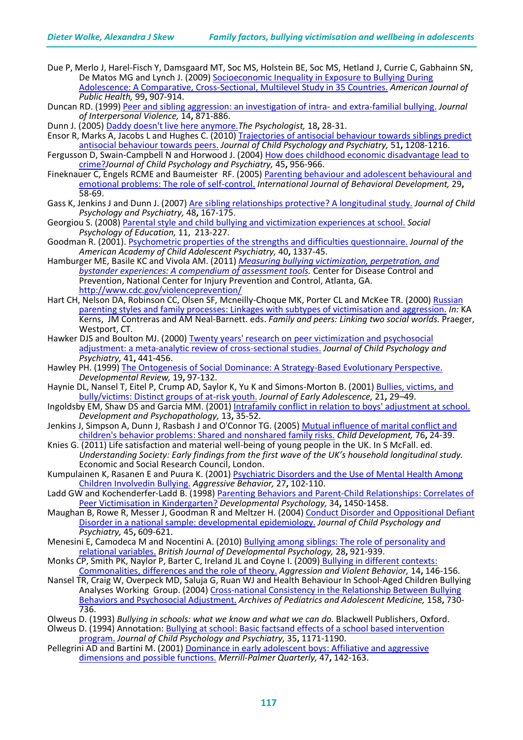- Due P, Merlo J, Harel-Fisch Y, Damsgaard MT, Soc MS, Holstein BE, Soc MS, Hetland J, Currie C, Gabhainn SN, De Matos MG and Lynch J. (2009) Socioeconomic Inequality in Exposure to Bullying During [Adolescence: A Comparative, Cross-Sectional, Multilevel Study in 35 Countries.](http://ajph.aphapublications.org/cgi/content/abstract/99/5/907) *American Journal of*
- *Public Health,* <sup>99</sup>**,** 907-914. Duncan RD. (1999) [Peer and sibling aggression: an investigation of intra-](http://jiv.sagepub.com/content/14/8/871) and extra-familial bullying. *Journal of Interpersonal Violence,* 14**,** 871-886.
- Dunn J. (2005) [Daddy doesn't live here anymore.](http://www.thepsychologist.org.uk/archive/archive_home.cfm?volumeID=18&editionID=114&ArticleID=799)*The Psychologist,* 18**,** 28-31.
- Ensor R, Marks A, Jacobs L and Hughes C. (2010) Trajectories of antisocial behaviour towards siblings predict [antisocial behaviour towards peers.](http://onlinelibrary.wiley.com/doi/10.1111/j.1469-7610.2010.02276.x/abstract) *Journal of Child Psychology and Psychiatry,* 51**,** 1208-1216.
- Fergusson D, Swain-Campbell N and Horwood J. (2004) [How does childhood economic disadvantage lead to](http://onlinelibrary.wiley.com/doi/10.1111/j.1469-7610.2004.t01-1-00288.x/abstract)  [crime?](http://onlinelibrary.wiley.com/doi/10.1111/j.1469-7610.2004.t01-1-00288.x/abstract)*Journal of Child Psychology and Psychiatry,* 45**,** 956-966.
- Fineknauer C, Engels RCME and Baumeister RF. (2005) Parenting behaviour and adolescent behavioural and [emotional problems: The role of self-control.](http://jbd.sagepub.com/content/29/1/58) *International Journal of Behavioral Development,* 29**,** 58-69.
- Gass K, Jenkins J and Dunn J. (2007) [Are sibling relationships protective? A longitudinal study.](http://onlinelibrary.wiley.com/doi/10.1111/j.1469-7610.2006.01699.x/abstract) *Journal of Child Psychology and Psychiatry,* 48**,** 167-175.
- Georgiou S. (2008) [Parental style and child bullying and victimization experiences at school.](http://www.springerlink.com/content/2016w83626j61350/) *Social Psychology of Education,* 11, 213-227.
- Goodman R. (2001). [Psychometric properties of the strengths and difficulties questionnaire.](http://www.sciencedirect.com/science/article/pii/S0890856709605438) *Journal of the American Academy of Child Adolescent Psychiatry,* 40**,** 1337-45.
- Hamburger ME, Basile KC and Vivola AM. (2011) *[Measuring bullying victimization, perpetration, and](http://www.cdc.gov/violenceprevention/pub/measuring_bullying.html)  [bystander experiences: A compendium of assessment tools.](http://www.cdc.gov/violenceprevention/pub/measuring_bullying.html)* Center for Disease Control and Prevention, National Center for Injury Prevention and Control, Atlanta, GA. <http://www.cdc.gov/violenceprevention/>
- Hart CH, Nelson DA, Robinson CC, Olsen SF, Mcneilly-Choque MK, Porter CL and McKee TR. (2000) Russian [parenting styles and family processes: Linkages with subtypes of victimisation and aggression.](http://psycnet.apa.org/psycinfo/2008-01410-003) *In:* KA
- Westport, CT.<br>Hawker DJS and Boulton MJ. (2000) Twenty years' research on peer victimization and psychosocial [adjustment: a meta-analytic review of cross-sectional studies.](http://onlinelibrary.wiley.com/doi/10.1111/1469-7610.00629/abstract) *Journal of Child Psychology and Psychiatry,* 41**,** 441-456.
- Hawley PH. (1999) [The Ontogenesis of Social Dominance: A Strategy-Based Evolutionary Perspective.](http://www.sciencedirect.com/science/article/pii/S0273229798904701) *Developmental Review,* 19**,** 97-132.
- Haynie DL, Nansel T, Eitel P, Crump AD, Saylor K, Yu K and Simons-Morton B. (2001) [Bullies, victims, and](http://jea.sagepub.com/content/21/1/29)  [bully/victims: Distinct groups of at-risk youth.](http://jea.sagepub.com/content/21/1/29) *Journal of Early Adolescence,* 21**,** 29–49.
- Ingoldsby EM, Shaw DS and Garcia MM. (2001) [Intrafamily conflict in relation to boys' adjustment at school.](http://journals.cambridge.org/action/displayAbstract?fromPage=online&aid=67569) *Development and Psychopathology,* 13**,** 35-52.
- Jenkins J, Simpson A, Dunn J, Rasbash J and O'Connor TG. (2005) Mutual influence of marital conflict and [children's behavior problems: Shared and nonshared family risks.](http://onlinelibrary.wiley.com/doi/10.1111/j.1467-8624.2005.00827.x/abstract) *Child Development,* 76**,** 24-39.
- Knies G. (2011) Life satisfaction and material well-being of young people in the UK. In S McFall. ed. *Understanding Society: Early findings from the first wave of the UK's household longitudinal study.* Economic and Social Research Council, London.
- Kumpulainen K, Rasanen E and Puura K. (2001) Psychiatric Disorders and the Use of Mental Health Among [Children Involvedin Bullying.](http://onlinelibrary.wiley.com/doi/10.1002/ab.3/abstract) *Aggressive Behavior,* 27**,** 102-110.
- Ladd GW and Kochenderfer-Ladd B. (1998) Parenting Behaviors and Parent-Child Relationships: Correlates of [Peer Victimisation in Kindergarten?](http://psycnet.apa.org/journals/dev/34/6/1450/) *Developmental Psychology,* 34**,** 1450-1458.
- Maughan B, Rowe R, Messer J, Goodman R and Meltzer H. (2004) [Conduct Disorder and Oppositional Defiant](http://onlinelibrary.wiley.com/doi/10.1111/j.1469-7610.2004.00250.x/abstract)  [Disorder in a national sample: developmental epidemiology.](http://onlinelibrary.wiley.com/doi/10.1111/j.1469-7610.2004.00250.x/abstract) *Journal of Child Psychology and Psychiatry,* 45**,** 609-621.
- Menesini E, Camodeca M and Nocentini A. (2010) Bullying among siblings: The role of personality and [relational variables.](http://onlinelibrary.wiley.com/doi/10.1348/026151009X479402/abstract) *British Journal of Developmental Psychology,* 28**,** 921-939.
- Monks CP, Smith PK, Naylor P, Barter C, Ireland JL and Coyne I. (2009) [Bullying in different contexts:](http://www.sciencedirect.com/science/article/pii/S1359178909000172)  [Commonalities, differences and the](http://www.sciencedirect.com/science/article/pii/S1359178909000172) role of theory. *Aggression and Violent Behavior,* 14**,** 146-156.
- Nansel TR, Craig W, Overpeck MD, Saluja G, Ruan WJ and Health Behaviour In School-Aged Children Bullying Analyses Working Group. (2004) [Cross-national Consistency in the Relationship Between Bullying](http://archpedi.ama-assn.org/cgi/content/abstract/158/8/730)  [Behaviors and Psychosocial Adjustment.](http://archpedi.ama-assn.org/cgi/content/abstract/158/8/730) *Archives of Pediatrics and Adolescent Medicine,* <sup>158</sup>**,** 730- 736.
- 

Olweus D. (1993) *Bullying in schools: what we know and what we can do.* Blackwell Publishers, Oxford. Olweus D. (1994) Annotation: [Bullying at school: Basic factsand effects of a school based intervention](http://onlinelibrary.wiley.com/doi/10.1111/j.1469-7610.1994.tb01229.x/abstract)  [program.](http://onlinelibrary.wiley.com/doi/10.1111/j.1469-7610.1994.tb01229.x/abstract) *Journal of Child Psychology and Psychiatry,* 35**,** 1171-1190.

Pellegrini AD and Bartini M. (2001) Dominance in early adolescent boys: Affiliative and aggressive [dimensions and possible functions.](http://muse.jhu.edu/journals/merrill-palmer_quarterly/v047/47.1pellegrini.pdf) *Merrill-Palmer Quarterly,* 47**,** 142-163.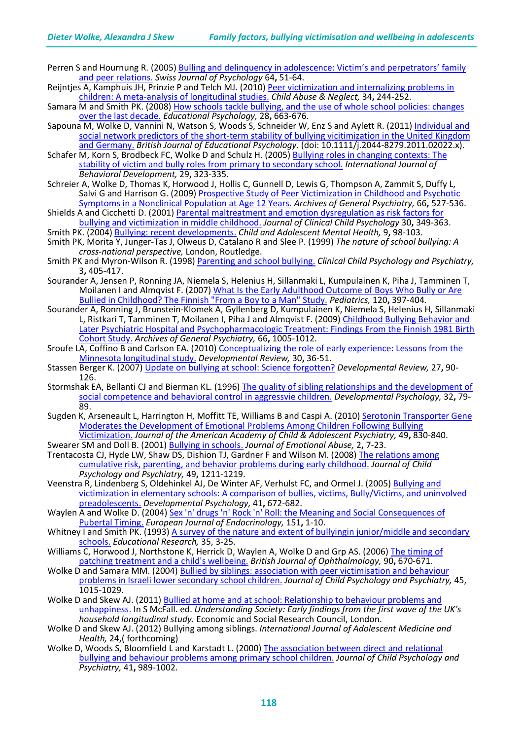- Perren S and Hournung R. (2005) [Bulling and delinquency in adolescence: Victim's and perpetrators' family](http://www.sciencedirect.com/science/article/pii/S1421018505600056)  [and peer relations.](http://www.sciencedirect.com/science/article/pii/S1421018505600056) *Swiss Journal of Psychology* 64**,** 51-64.
- Reijntjes A, Kamphuis JH, Prinzie P and Telch MJ. (2010) [Peer victimization and internalizing problems in](http://www.sciencedirect.com/science/article/pii/S0145213410000505)  [children: A meta-analysis of longitudinal studies.](http://www.sciencedirect.com/science/article/pii/S0145213410000505) *Child Abuse & Neglect,* 34**,** 244-252.
- Samara M and Smith PK. (2008) [How schools tackle bullying, and the use of whole school policies: changes](http://www.tandfonline.com/doi/abs/10.1080/01443410802191910)  [over the last decade.](http://www.tandfonline.com/doi/abs/10.1080/01443410802191910) *Educational Psychology,* 28**,** 663-676.
- Sapouna M, Wolke D, Vannini N, Watson S, Woods S, Schneider W, Enz S and Aylett R. (2011) [Individual and](http://onlinelibrary.wiley.com/doi/10.1111/j.2044-8279.2011.02022.x/abstract)  [social network predictors of the short-term stability of bullying vicitimization in the United Kingdom](http://onlinelibrary.wiley.com/doi/10.1111/j.2044-8279.2011.02022.x/abstract)  [and Germany.](http://onlinelibrary.wiley.com/doi/10.1111/j.2044-8279.2011.02022.x/abstract) *British Journal of Educational Psychology*. (doi: 10.1111/j.2044-8279.2011.02022.x).
- Schafer M, Korn S, Brodbeck FC, Wolke D and Schulz H. (2005) Bullying roles in changing contexts: The [stability of victim and bully roles from primary to secondary school.](http://jbd.sagepub.com/content/29/4/323) *International Journal of Behavioral Development,* 29**,** 323-335.
- Schreier A, Wolke D, Thomas K, Horwood J, Hollis C, Gunnell D, Lewis G, Thompson A, Zammit S, Duffy L, Salvi G and Harrison G. (2009) Prospective Study of Peer Victimization in Childhood and Psychotic [Symptoms in a Nonclinical Population at Age 12 Years.](http://archpsyc.ama-assn.org/cgi/reprint/66/5/527.pdf) *Archives of General Psychiatry,* 66**,** 527-536.
- Shields A and Cicchetti D. (2001) [Parental maltreatment and emotion dysregulation as risk factors for](http://www.tandfonline.com/doi/abs/10.1207/S15374424JCCP3003_7)  [bullying and victimization in middle childhood.](http://www.tandfonline.com/doi/abs/10.1207/S15374424JCCP3003_7) *Journal of Clinical Child Psychology* 30**,** 349-363.
- Smith PK. (2004) [Bullying: recent developments.](http://stmaryseminars.tripod.com/sitebuildercontent/sitebuilderfiles/3smith.pdf) *Child and Adolescent Mental Health,* 9**,** 98-103.
- Smith PK, Morita Y, Junger-Tas J, Olweus D, Catalano R and Slee P. (1999) *The nature of school bullying: A cross-national perspective,* London, Routledge.
- Smith PK and Myron-Wilson R. (1998) [Parenting and school bullying.](http://ccp.sagepub.com/content/3/3/405) *Clinical Child Psychology and Psychiatry,* 3**,** 405-417.
- Sourander A, Jensen P, Ronning JA, Niemela S, Helenius H, Sillanmaki L, Kumpulainen K, Piha J, Tamminen T, Moilanen I and Almqvist F. (2007) [What Is the Early Adulthood Outcome of Boys Who Bully or Are](http://pediatrics.aappublications.org/content/120/2/397)  [Bullied in Childhood? The Finnish "From a Boy to a Man" Study.](http://pediatrics.aappublications.org/content/120/2/397) *Pediatrics,* 120**,** 397-404.
- Sourander A, Ronning J, Brunstein-Klomek A, Gyllenberg D, Kumpulainen K, Niemela S, Helenius H, Sillanmaki L, Ristkari T, Tamminen T, Moilanen I, Piha J and Almqvist F. (2009) [Childhood Bullying Behavior and](http://archpsyc.ama-assn.org/cgi/content/abstract/66/9/1005)  [Later Psychiatric Hospital and Psychopharmacologic Treatment: Findings From the Finnish 1981 Birth](http://archpsyc.ama-assn.org/cgi/content/abstract/66/9/1005) [Cohort Study.](http://archpsyc.ama-assn.org/cgi/content/abstract/66/9/1005) *Archives of General Psychiatry,* 66**,** 1005-1012.
- Sroufe LA, Coffino B and Carlson EA. (2010) Conceptualizing the role of early experience: Lessons from the [Minnesota longitudinal study.](http://www.sciencedirect.com/science/article/pii/S0273229709000409) *Developmental Review,* 30**,** 36-51.
- Stassen Berger K. (2007) [Update on bullying at school: Science forgotten?](https://webspace.utexas.edu/lab3346/School%20Bullying/Berger2007/Berger2007.pdf) *Developmental Review,* <sup>27</sup>**,** 90- 126.
- Stormshak EA, Bellanti CJ and Bierman KL. (1996) [The quality of sibling relationships and the development of](http://www.sciencedirect.com/science/article/pii/S0012164902006514)  [social competence and behavioral control in aggressvie children.](http://www.sciencedirect.com/science/article/pii/S0012164902006514) *Developmental Psychology,* <sup>32</sup>**,** 79- 89.
- Sugden K, Arseneault L, Harrington H, Moffitt TE, Williams B and Caspi A. (2010) Serotonin Transporter Gene [Moderates the Development of Emotional Problems Among Children Following Bullying](http://www.sciencedirect.com/science/article/pii/S0890856710002844)  [Victimization.](http://www.sciencedirect.com/science/article/pii/S0890856710002844) *Journal of the American Academy of Child & Adolescent Psychiatry,* 49**,** 830-840.
- Swearer SM and Doll B. (2001) [Bullying in schools.](http://www.tandfonline.com/doi/abs/10.1300/J135v02n02_02) *Journal of Emotional Abuse,* 2**,** 7-23.
- Trentacosta CJ, Hyde LW, Shaw DS, Dishion TJ, Gardner F and Wilson M. (2008) The relations among [cumulative risk, parenting, and behavior problems during early childhood.](http://onlinelibrary.wiley.com/doi/10.1111/j.1469-7610.2008.01941.x/abstract) *Journal of Child Psychology and Psychiatry,* 49**,** 1211-1219.
- Veenstra R, Lindenberg S, Oldehinkel AJ, De Winter AF, Verhulst FC, and Ormel J. (2005) Bullying and [victimization in elementary schools: A comparison of bullies, victims, Bully/Victims, and uninvolved](http://www.gmw.rug.nl/~veenstra/CV/TRAILS_Veenstra_DP05.pdf)  [preadolescents.](http://www.gmw.rug.nl/~veenstra/CV/TRAILS_Veenstra_DP05.pdf) *Developmental Psychology,* 41**,** 672-682.
- Waylen A and Wolke D. (2004) Sex 'n' drugs 'n' Rock 'n' Roll: the Meaning and Social Consequences of [Pubertal Timing.](http://www.eje-online.org/content/151/Suppl_3/U151) *European Journal of Endocrinology,* 151**,** 1-10.
- Whitney I and Smith PK. (1993) A survey of the nature and extent of bullyingin junior/middle and secondary [schools.](http://www.tandfonline.com/doi/abs/10.1080/0013188930350101) *Educational Research,* 35, 3-25.
- Williams C, Horwood J, Northstone K, Herrick D, Waylen A, Wolke D and Grp AS. (2006) The timing of [patching treatment and a child's wellbeing.](http://bjo.bmj.com/content/90/6/670) *British Journal of Ophthalmology,* 90**,** 670-671.
- Wolke D and Samara MM. (2004) Bullied by siblings: association with peer victimisation and behaviour [problems in Israeli lower secondary school children.](http://onlinelibrary.wiley.com/doi/10.1111/j.1469-7610.2004.t01-1-00293.x/abstract) *Journal of Child Psychology and Psychiatry,* 45, 1015-1029.
- Wolke D and Skew AJ. (2011) [Bullied at home and at school: Relationship to behaviour problems and](http://research.understandingsociety.org.uk/files/research/findings/early-findings/4%20Early%20findings%20Chapter%204.pdf)  [unhappiness.](http://research.understandingsociety.org.uk/files/research/findings/early-findings/4%20Early%20findings%20Chapter%204.pdf) In S McFall. ed. *Understanding Society: Early findings from the first wave of the UK's*
- *h* Wolke D and Skew AJ. (2012) Bullying among siblings. *International Journal of Adolescent Medicine and Health,* 24,( forthcoming)
- Wolke D, Woods S, Bloomfield L and Karstadt L. (2000) The association between direct and relational [bullying and behaviour problems among primary school children.](http://onlinelibrary.wiley.com/doi/10.1111/1469-7610.00687/abstract) *Journal of Child Psychology and Psychiatry,* 41**,** 989-1002.